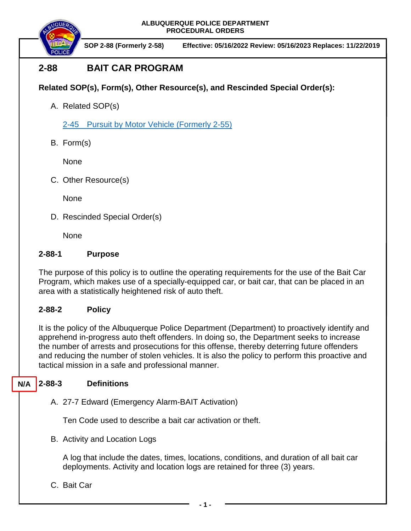

**SOP 2-88 (Formerly 2-58) Effective: 05/16/2022 Review: 05/16/2023 Replaces: 11/22/2019**

# **2-88 BAIT CAR PROGRAM**

## **Related SOP(s), Form(s), Other Resource(s), and Rescinded Special Order(s):**

A. Related SOP(s)

2-45 Pursuit by Motor Vehicle [\(Formerly 2-55\)](https://powerdms.com/docs/139?q=true)

B. Form(s)

None

C. Other Resource(s)

**None** 

D. Rescinded Special Order(s)

None

## **2-88-1 Purpose**

The purpose of this policy is to outline the operating requirements for the use of the Bait Car Program, which makes use of a specially-equipped car, or bait car, that can be placed in an area with a statistically heightened risk of auto theft.

## **2-88-2 Policy**

It is the policy of the Albuquerque Police Department (Department) to proactively identify and apprehend in-progress auto theft offenders. In doing so, the Department seeks to increase the number of arrests and prosecutions for this offense, thereby deterring future offenders and reducing the number of stolen vehicles. It is also the policy to perform this proactive and tactical mission in a safe and professional manner.

#### **2-88-3 Definitions N/A**

A. 27-7 Edward (Emergency Alarm-BAIT Activation)

Ten Code used to describe a bait car activation or theft.

B. Activity and Location Logs

A log that include the dates, times, locations, conditions, and duration of all bait car deployments. Activity and location logs are retained for three (3) years.

C. Bait Car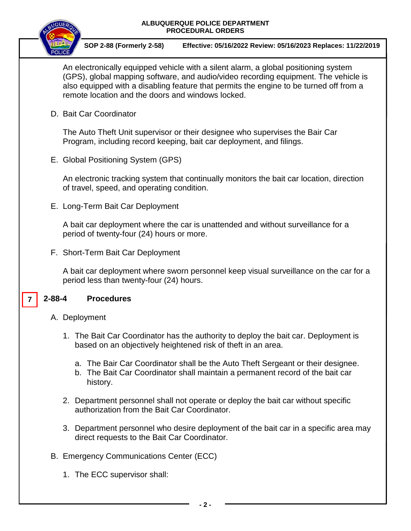

**SOP 2-88 (Formerly 2-58) Effective: 05/16/2022 Review: 05/16/2023 Replaces: 11/22/2019**

An electronically equipped vehicle with a silent alarm, a global positioning system (GPS), global mapping software, and audio/video recording equipment. The vehicle is also equipped with a disabling feature that permits the engine to be turned off from a remote location and the doors and windows locked.

D. Bait Car Coordinator

The Auto Theft Unit supervisor or their designee who supervises the Bair Car Program, including record keeping, bait car deployment, and filings.

E. Global Positioning System (GPS)

An electronic tracking system that continually monitors the bait car location, direction of travel, speed, and operating condition.

E. Long-Term Bait Car Deployment

A bait car deployment where the car is unattended and without surveillance for a period of twenty-four (24) hours or more.

F. Short-Term Bait Car Deployment

A bait car deployment where sworn personnel keep visual surveillance on the car for a period less than twenty-four (24) hours.

#### **2-88-4 Procedures 7**

- A. Deployment
	- 1. The Bait Car Coordinator has the authority to deploy the bait car. Deployment is based on an objectively heightened risk of theft in an area.
		- a. The Bair Car Coordinator shall be the Auto Theft Sergeant or their designee.
		- b. The Bait Car Coordinator shall maintain a permanent record of the bait car history.
	- 2. Department personnel shall not operate or deploy the bait car without specific authorization from the Bait Car Coordinator.
	- 3. Department personnel who desire deployment of the bait car in a specific area may direct requests to the Bait Car Coordinator.
- B. Emergency Communications Center (ECC)
	- 1. The ECC supervisor shall: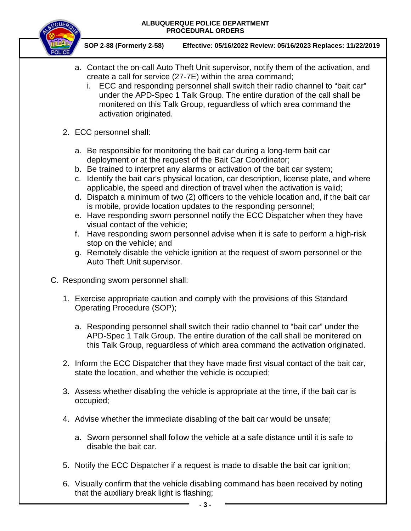

**SOP 2-88 (Formerly 2-58) Effective: 05/16/2022 Review: 05/16/2023 Replaces: 11/22/2019**

- a. Contact the on-call Auto Theft Unit supervisor, notify them of the activation, and create a call for service (27-7E) within the area command;
	- i. ECC and responding personnel shall switch their radio channel to "bait car" under the APD-Spec 1 Talk Group. The entire duration of the call shall be monitered on this Talk Group, reguardless of which area command the activation originated.
- 2. ECC personnel shall:
	- a. Be responsible for monitoring the bait car during a long-term bait car deployment or at the request of the Bait Car Coordinator;
	- b. Be trained to interpret any alarms or activation of the bait car system;
	- c. Identify the bait car's physical location, car description, license plate, and where applicable, the speed and direction of travel when the activation is valid;
	- d. Dispatch a minimum of two (2) officers to the vehicle location and, if the bait car is mobile, provide location updates to the responding personnel;
	- e. Have responding sworn personnel notify the ECC Dispatcher when they have visual contact of the vehicle;
	- f. Have responding sworn personnel advise when it is safe to perform a high-risk stop on the vehicle; and
	- g. Remotely disable the vehicle ignition at the request of sworn personnel or the Auto Theft Unit supervisor.
- C. Responding sworn personnel shall:
	- 1. Exercise appropriate caution and comply with the provisions of this Standard Operating Procedure (SOP);
		- a. Responding personnel shall switch their radio channel to "bait car" under the APD-Spec 1 Talk Group. The entire duration of the call shall be monitered on this Talk Group, reguardless of which area command the activation originated.
	- 2. Inform the ECC Dispatcher that they have made first visual contact of the bait car, state the location, and whether the vehicle is occupied;
	- 3. Assess whether disabling the vehicle is appropriate at the time, if the bait car is occupied;
	- 4. Advise whether the immediate disabling of the bait car would be unsafe;
		- a. Sworn personnel shall follow the vehicle at a safe distance until it is safe to disable the bait car.
	- 5. Notify the ECC Dispatcher if a request is made to disable the bait car ignition;
	- 6. Visually confirm that the vehicle disabling command has been received by noting that the auxiliary break light is flashing;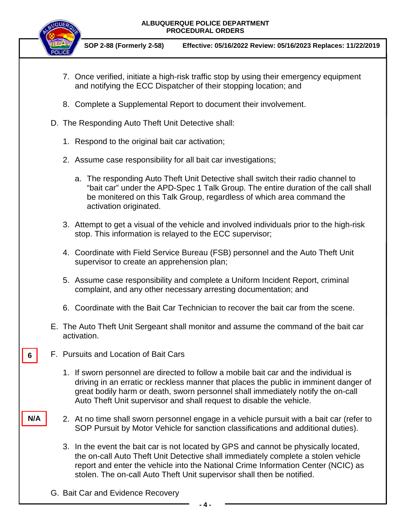

**SOP 2-88 (Formerly 2-58) Effective: 05/16/2022 Review: 05/16/2023 Replaces: 11/22/2019**

- 7. Once verified, initiate a high-risk traffic stop by using their emergency equipment and notifying the ECC Dispatcher of their stopping location; and
- 8. Complete a Supplemental Report to document their involvement.
- D. The Responding Auto Theft Unit Detective shall:
	- 1. Respond to the original bait car activation;
	- 2. Assume case responsibility for all bait car investigations;
		- a. The responding Auto Theft Unit Detective shall switch their radio channel to "bait car" under the APD-Spec 1 Talk Group. The entire duration of the call shall be monitered on this Talk Group, regardless of which area command the activation originated.
	- 3. Attempt to get a visual of the vehicle and involved individuals prior to the high-risk stop. This information is relayed to the ECC supervisor;
	- 4. Coordinate with Field Service Bureau (FSB) personnel and the Auto Theft Unit supervisor to create an apprehension plan;
	- 5. Assume case responsibility and complete a Uniform Incident Report, criminal complaint, and any other necessary arresting documentation; and
	- 6. Coordinate with the Bait Car Technician to recover the bait car from the scene.
- E. The Auto Theft Unit Sergeant shall monitor and assume the command of the bait car activation.
- F. Pursuits and Location of Bait Cars **6**

**N/A**

- 1. If sworn personnel are directed to follow a mobile bait car and the individual is driving in an erratic or reckless manner that places the public in imminent danger of great bodily harm or death, sworn personnel shall immediately notify the on-call Auto Theft Unit supervisor and shall request to disable the vehicle.
- 2. At no time shall sworn personnel engage in a vehicle pursuit with a bait car (refer to SOP Pursuit by Motor Vehicle for sanction classifications and additional duties).
- 3. In the event the bait car is not located by GPS and cannot be physically located, the on-call Auto Theft Unit Detective shall immediately complete a stolen vehicle report and enter the vehicle into the National Crime Information Center (NCIC) as stolen. The on-call Auto Theft Unit supervisor shall then be notified.
- G. Bait Car and Evidence Recovery